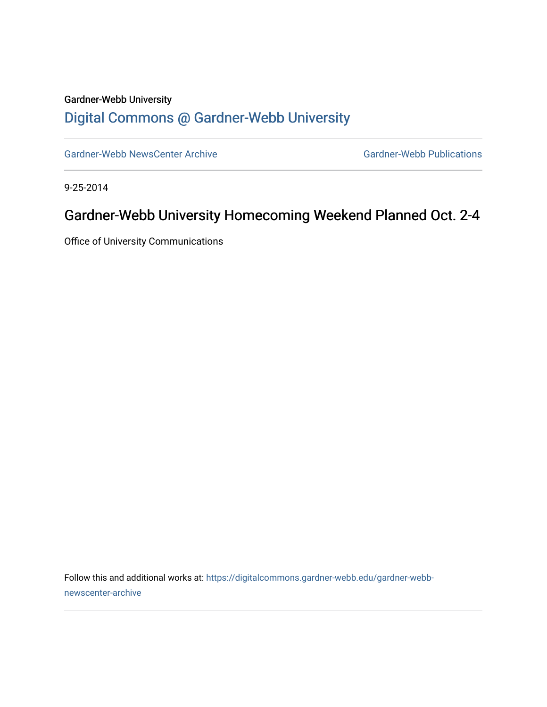# Gardner-Webb University [Digital Commons @ Gardner-Webb University](https://digitalcommons.gardner-webb.edu/)

[Gardner-Webb NewsCenter Archive](https://digitalcommons.gardner-webb.edu/gardner-webb-newscenter-archive) Gardner-Webb Publications

9-25-2014

# Gardner-Webb University Homecoming Weekend Planned Oct. 2-4

Office of University Communications

Follow this and additional works at: [https://digitalcommons.gardner-webb.edu/gardner-webb](https://digitalcommons.gardner-webb.edu/gardner-webb-newscenter-archive?utm_source=digitalcommons.gardner-webb.edu%2Fgardner-webb-newscenter-archive%2F1359&utm_medium=PDF&utm_campaign=PDFCoverPages)[newscenter-archive](https://digitalcommons.gardner-webb.edu/gardner-webb-newscenter-archive?utm_source=digitalcommons.gardner-webb.edu%2Fgardner-webb-newscenter-archive%2F1359&utm_medium=PDF&utm_campaign=PDFCoverPages)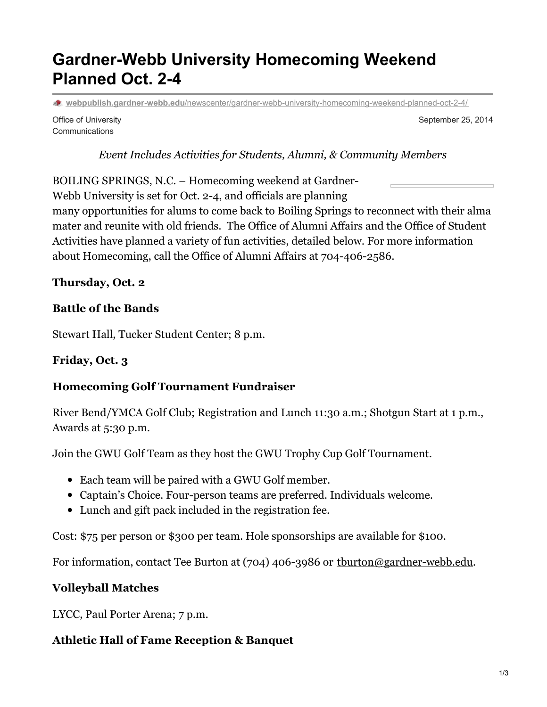# **Gardner-Webb University Homecoming Weekend Planned Oct. 2-4**

**webpublish.gardner-webb.edu**[/newscenter/gardner-webb-university-homecoming-weekend-planned-oct-2-4/](https://webpublish.gardner-webb.edu/newscenter/gardner-webb-university-homecoming-weekend-planned-oct-2-4/)

Office of University **Communications** 

September 25, 2014

*Event Includes Activities for Students, Alumni, & Community Members*

BOILING SPRINGS, N.C. – Homecoming weekend at Gardner-

Webb University is set for Oct. 2-4, and officials are planning

many opportunities for alums to come back to Boiling Springs to reconnect with their alma mater and reunite with old friends. The Office of Alumni Affairs and the Office of Student Activities have planned a variety of fun activities, detailed below. For more information about Homecoming, call the Office of Alumni Affairs at 704-406-2586.

**Thursday, Oct. 2**

#### **Battle of the Bands**

Stewart Hall, Tucker Student Center; 8 p.m.

#### **Friday, Oct. 3**

#### **Homecoming Golf Tournament Fundraiser**

River Bend/YMCA Golf Club; Registration and Lunch 11:30 a.m.; Shotgun Start at 1 p.m., Awards at 5:30 p.m.

Join the GWU Golf Team as they host the GWU Trophy Cup Golf Tournament.

- Each team will be paired with a GWU Golf member.
- Captain's Choice. Four-person teams are preferred. Individuals welcome.
- Lunch and gift pack included in the registration fee.

Cost: \$75 per person or \$300 per team. Hole sponsorships are available for \$100.

For information, contact Tee Burton at (704) 406-3986 or thurton@gardner-webb.edu.

#### **Volleyball Matches**

LYCC, Paul Porter Arena; 7 p.m.

#### **Athletic Hall of Fame Reception & Banquet**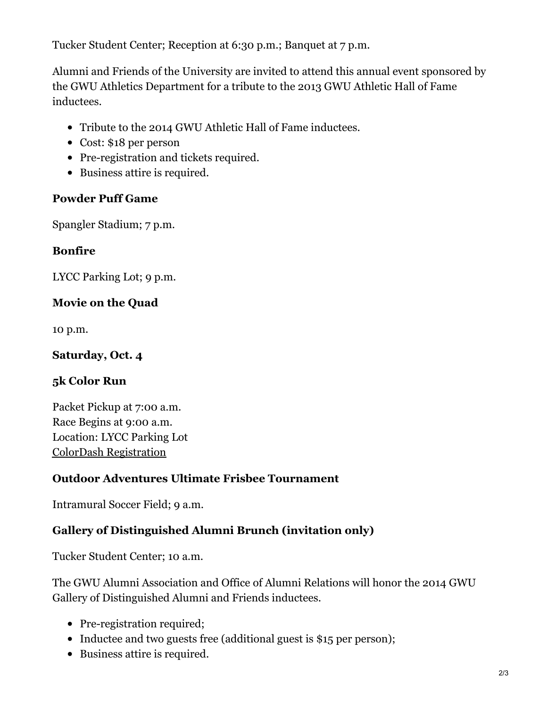Tucker Student Center; Reception at 6:30 p.m.; Banquet at 7 p.m.

Alumni and Friends of the University are invited to attend this annual event sponsored by the GWU Athletics Department for a tribute to the 2013 GWU Athletic Hall of Fame inductees.

- Tribute to the 2014 GWU Athletic Hall of Fame inductees.
- Cost: \$18 per person
- Pre-registration and tickets required.
- Business attire is required.

### **Powder Puff Game**

Spangler Stadium; 7 p.m.

### **Bonfire**

LYCC Parking Lot; 9 p.m.

# **Movie on the Quad**

10 p.m.

### **Saturday, Oct. 4**

# **5k Color Run**

Packet Pickup at 7:00 a.m. Race Begins at 9:00 a.m. Location: LYCC Parking Lot ColorDash [Registration](http://www.thecolordash5k.com/Boiling Springs NC.html)

# **Outdoor Adventures Ultimate Frisbee Tournament**

Intramural Soccer Field; 9 a.m.

# **Gallery of Distinguished Alumni Brunch (invitation only)**

Tucker Student Center; 10 a.m.

The GWU Alumni Association and Office of Alumni Relations will honor the 2014 GWU Gallery of Distinguished Alumni and Friends inductees.

- Pre-registration required;
- Inductee and two guests free (additional guest is \$15 per person);
- Business attire is required.